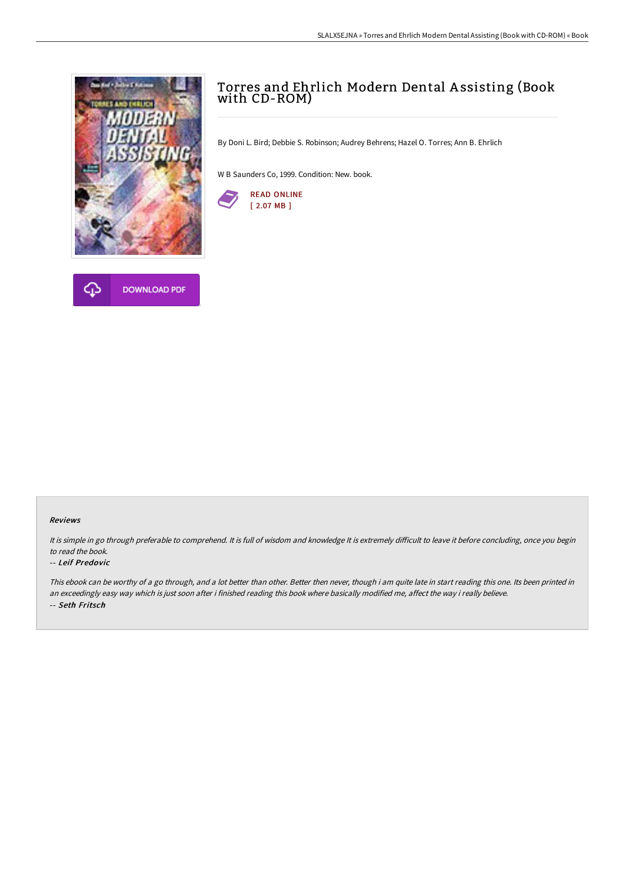



By Doni L. Bird; Debbie S. Robinson; Audrey Behrens; Hazel O. Torres; Ann B. Ehrlich

W B Saunders Co, 1999. Condition: New. book.



## Reviews

It is simple in go through preferable to comprehend. It is full of wisdom and knowledge It is extremely difficult to leave it before concluding, once you begin to read the book.

## -- Leif Predovic

This ebook can be worthy of a go through, and a lot better than other. Better then never, though i am quite late in start reading this one. Its been printed in an exceedingly easy way which is just soon after i finished reading this book where basically modified me, affect the way i really believe. -- Seth Fritsch